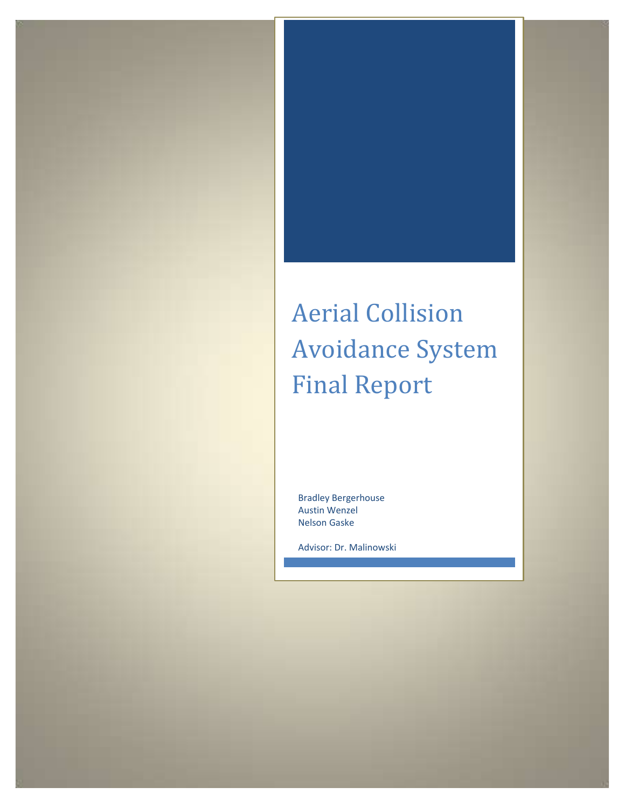# Aerial Collision Avoidance System Final Report

Bradley Bergerhouse Austin Wenzel Nelson Gaske

Advisor: Dr. Malinowski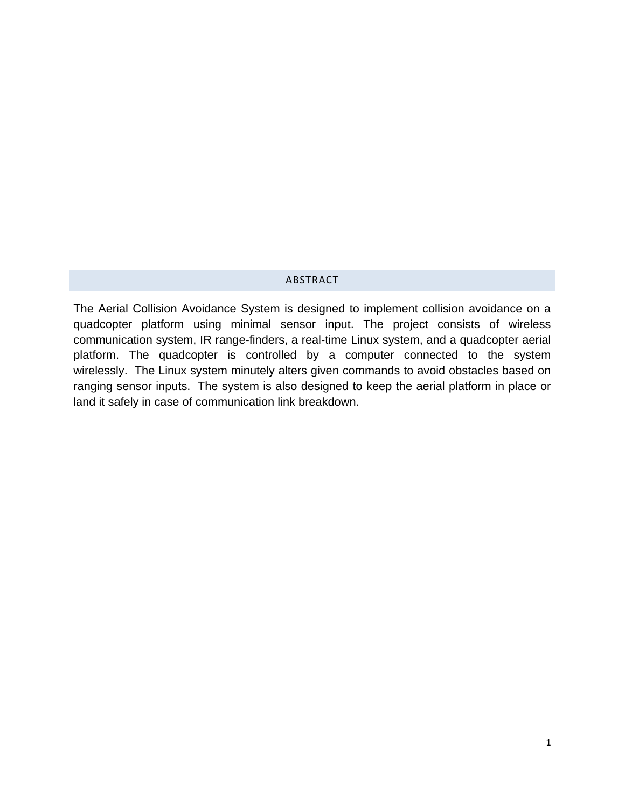# ABSTRACT

<span id="page-1-0"></span>The Aerial Collision Avoidance System is designed to implement collision avoidance on a quadcopter platform using minimal sensor input. The project consists of wireless communication system, IR range-finders, a real-time Linux system, and a quadcopter aerial platform. The quadcopter is controlled by a computer connected to the system wirelessly. The Linux system minutely alters given commands to avoid obstacles based on ranging sensor inputs. The system is also designed to keep the aerial platform in place or land it safely in case of communication link breakdown.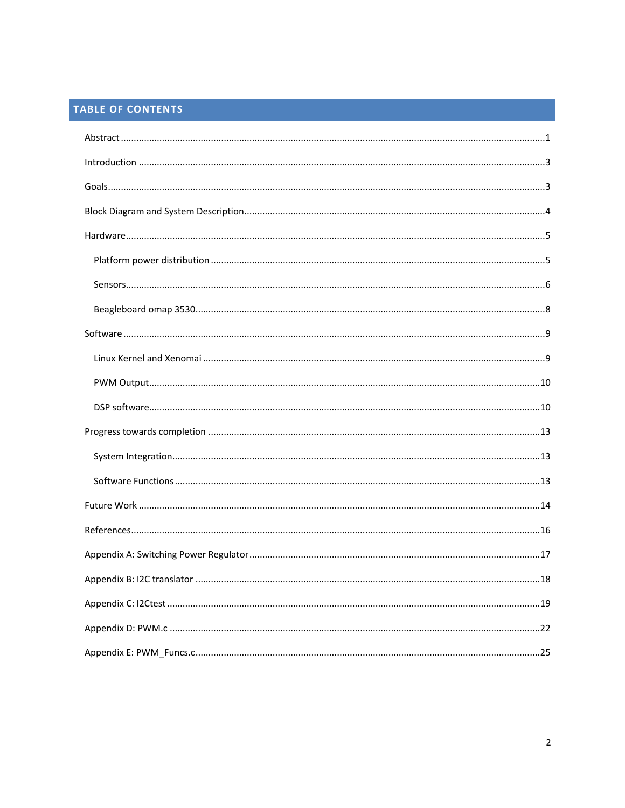# TABLE OF CONTENTS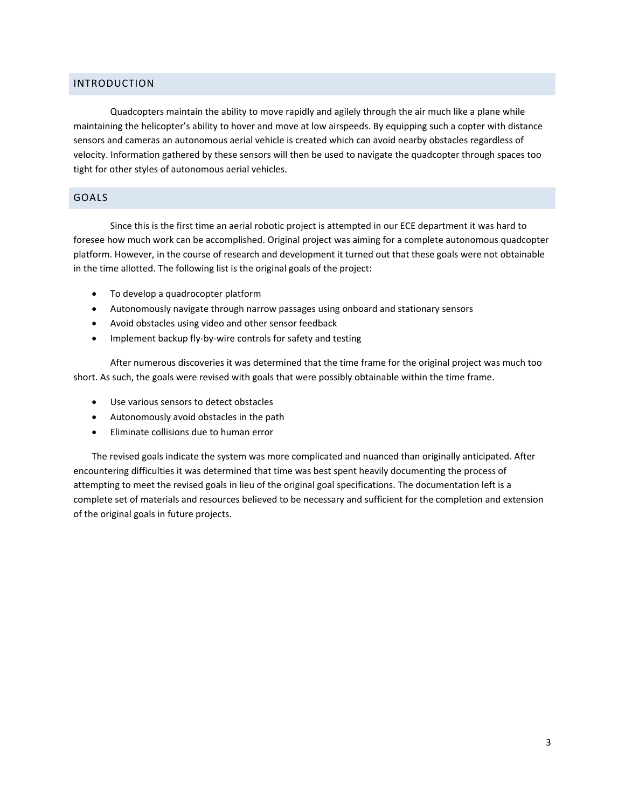# <span id="page-3-0"></span>INTRODUCTION

Quadcopters maintain the ability to move rapidly and agilely through the air much like a plane while maintaining the helicopter's ability to hover and move at low airspeeds. By equipping such a copter with distance sensors and cameras an autonomous aerial vehicle is created which can avoid nearby obstacles regardless of velocity. Information gathered by these sensors will then be used to navigate the quadcopter through spaces too tight for other styles of autonomous aerial vehicles.

# <span id="page-3-1"></span>GOALS

Since this is the first time an aerial robotic project is attempted in our ECE department it was hard to foresee how much work can be accomplished. Original project was aiming for a complete autonomous quadcopter platform. However, in the course of research and development it turned out that these goals were not obtainable in the time allotted. The following list is the original goals of the project:

- To develop a quadrocopter platform
- Autonomously navigate through narrow passages using onboard and stationary sensors
- Avoid obstacles using video and other sensor feedback
- Implement backup fly-by-wire controls for safety and testing

After numerous discoveries it was determined that the time frame for the original project was much too short. As such, the goals were revised with goals that were possibly obtainable within the time frame.

- Use various sensors to detect obstacles
- Autonomously avoid obstacles in the path
- Eliminate collisions due to human error

The revised goals indicate the system was more complicated and nuanced than originally anticipated. After encountering difficulties it was determined that time was best spent heavily documenting the process of attempting to meet the revised goals in lieu of the original goal specifications. The documentation left is a complete set of materials and resources believed to be necessary and sufficient for the completion and extension of the original goals in future projects.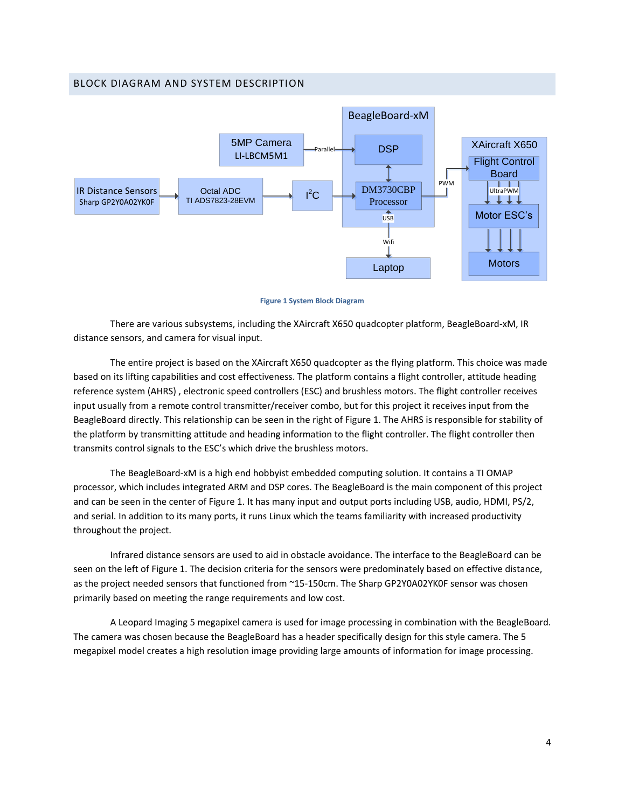# <span id="page-4-0"></span>BLOCK DIAGRAM AND SYSTEM DESCRIPTION



#### **Figure 1 System Block Diagram**

There are various subsystems, including the XAircraft X650 quadcopter platform, BeagleBoard-xM, IR distance sensors, and camera for visual input.

The entire project is based on the XAircraft X650 quadcopter as the flying platform. This choice was made based on its lifting capabilities and cost effectiveness. The platform contains a flight controller, attitude heading reference system (AHRS) , electronic speed controllers (ESC) and brushless motors. The flight controller receives input usually from a remote control transmitter/receiver combo, but for this project it receives input from the BeagleBoard directly. This relationship can be seen in the right of Figure 1. The AHRS is responsible for stability of the platform by transmitting attitude and heading information to the flight controller. The flight controller then transmits control signals to the ESC's which drive the brushless motors.

The BeagleBoard-xM is a high end hobbyist embedded computing solution. It contains a TI OMAP processor, which includes integrated ARM and DSP cores. The BeagleBoard is the main component of this project and can be seen in the center of Figure 1. It has many input and output ports including USB, audio, HDMI, PS/2, and serial. In addition to its many ports, it runs Linux which the teams familiarity with increased productivity throughout the project.

Infrared distance sensors are used to aid in obstacle avoidance. The interface to the BeagleBoard can be seen on the left of Figure 1. The decision criteria for the sensors were predominately based on effective distance, as the project needed sensors that functioned from ~15-150cm. The Sharp GP2Y0A02YK0F sensor was chosen primarily based on meeting the range requirements and low cost.

A Leopard Imaging 5 megapixel camera is used for image processing in combination with the BeagleBoard. The camera was chosen because the BeagleBoard has a header specifically design for this style camera. The 5 megapixel model creates a high resolution image providing large amounts of information for image processing.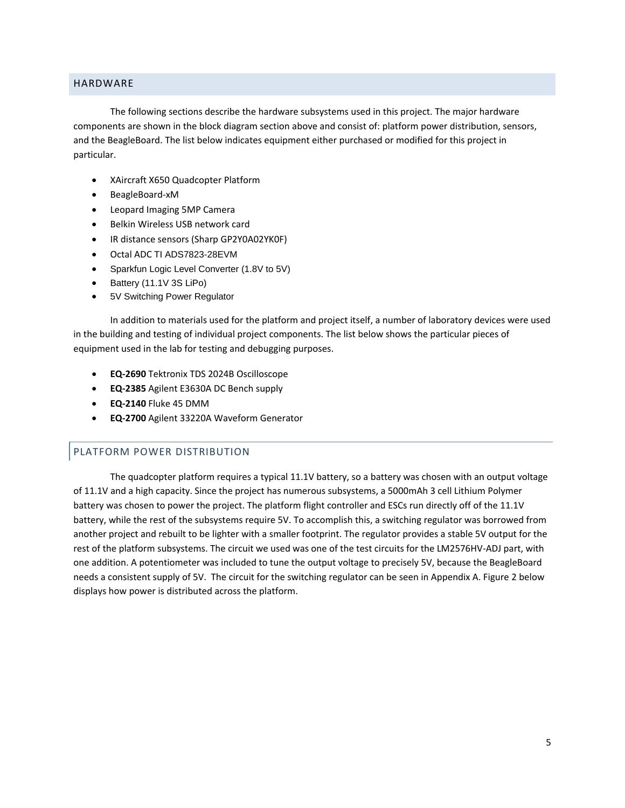# <span id="page-5-0"></span>HARDWARE

The following sections describe the hardware subsystems used in this project. The major hardware components are shown in the block diagram section above and consist of: platform power distribution, sensors, and the BeagleBoard. The list below indicates equipment either purchased or modified for this project in particular.

- XAircraft X650 Quadcopter Platform
- BeagleBoard-xM
- Leopard Imaging 5MP Camera
- Belkin Wireless USB network card
- IR distance sensors (Sharp GP2Y0A02YK0F)
- Octal ADC TI ADS7823-28EVM
- Sparkfun Logic Level Converter (1.8V to 5V)
- Battery (11.1V 3S LiPo)
- 5V Switching Power Regulator

In addition to materials used for the platform and project itself, a number of laboratory devices were used in the building and testing of individual project components. The list below shows the particular pieces of equipment used in the lab for testing and debugging purposes.

- **EQ-2690** Tektronix TDS 2024B Oscilloscope
- **EQ-2385** Agilent E3630A DC Bench supply
- **EQ-2140** Fluke 45 DMM
- **EQ-2700** Agilent 33220A Waveform Generator

# <span id="page-5-1"></span>PLATFORM POWER DISTRIBUTION

The quadcopter platform requires a typical 11.1V battery, so a battery was chosen with an output voltage of 11.1V and a high capacity. Since the project has numerous subsystems, a 5000mAh 3 cell Lithium Polymer battery was chosen to power the project. The platform flight controller and ESCs run directly off of the 11.1V battery, while the rest of the subsystems require 5V. To accomplish this, a switching regulator was borrowed from another project and rebuilt to be lighter with a smaller footprint. The regulator provides a stable 5V output for the rest of the platform subsystems. The circuit we used was one of the test circuits for the LM2576HV-ADJ part, with one addition. A potentiometer was included to tune the output voltage to precisely 5V, because the BeagleBoard needs a consistent supply of 5V. The circuit for the switching regulator can be seen in Appendix A. Figure 2 below displays how power is distributed across the platform.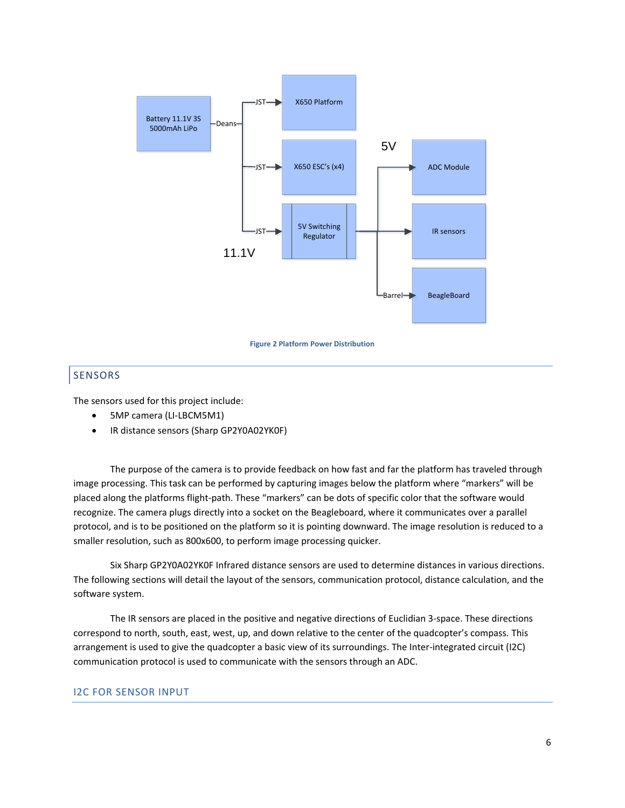

#### **Figure 2 Platform Power Distribution**

# <span id="page-6-0"></span>SENSORS

The sensors used for this project include:

- 5MP camera (LI-LBCM5M1)
- IR distance sensors (Sharp GP2Y0A02YK0F)

The purpose of the camera is to provide feedback on how fast and far the platform has traveled through image processing. This task can be performed by capturing images below the platform where "markers" will be placed along the platforms flight-path. These "markers" can be dots of specific color that the software would recognize. The camera plugs directly into a socket on the Beagleboard, where it communicates over a parallel protocol, and is to be positioned on the platform so it is pointing downward. The image resolution is reduced to a smaller resolution, such as 800x600, to perform image processing quicker.

Six Sharp GP2Y0A02YK0F Infrared distance sensors are used to determine distances in various directions. The following sections will detail the layout of the sensors, communication protocol, distance calculation, and the software system.

The IR sensors are placed in the positive and negative directions of Euclidian 3-space. These directions correspond to north, south, east, west, up, and down relative to the center of the quadcopter's compass. This arrangement is used to give the quadcopter a basic view of its surroundings. The Inter-integrated circuit (I2C) communication protocol is used to communicate with the sensors through an ADC.

### I2C FOR SENSOR INPUT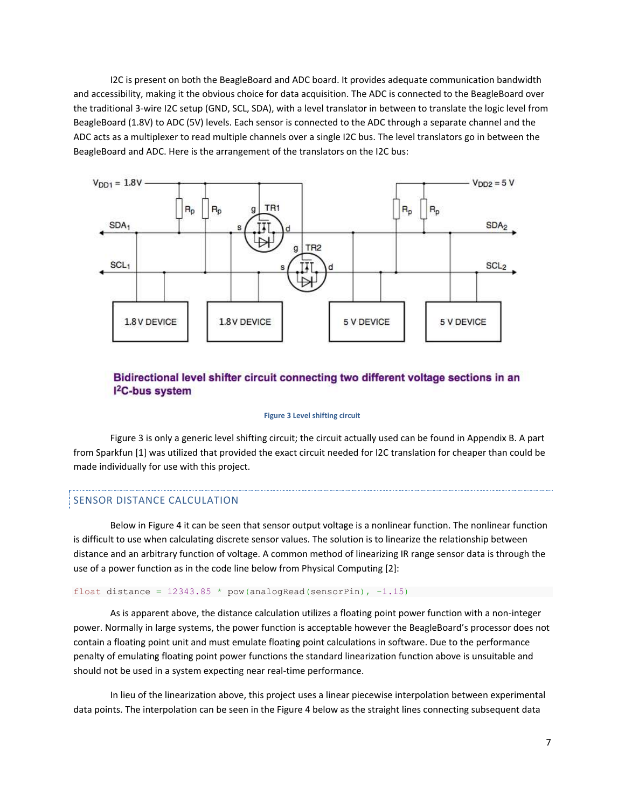I2C is present on both the BeagleBoard and ADC board. It provides adequate communication bandwidth and accessibility, making it the obvious choice for data acquisition. The ADC is connected to the BeagleBoard over the traditional 3-wire I2C setup (GND, SCL, SDA), with a level translator in between to translate the logic level from BeagleBoard (1.8V) to ADC (5V) levels. Each sensor is connected to the ADC through a separate channel and the ADC acts as a multiplexer to read multiple channels over a single I2C bus. The level translators go in between the BeagleBoard and ADC. Here is the arrangement of the translators on the I2C bus:



# Bidirectional level shifter circuit connecting two different voltage sections in an <sup>2</sup>C-bus system

#### **Figure 3 Level shifting circuit**

Figure 3 is only a generic level shifting circuit; the circuit actually used can be found in Appendix B. A part from Sparkfun [\[1\]](#page-16-1) was utilized that provided the exact circuit needed for I2C translation for cheaper than could be made individually for use with this project.

# SENSOR DISTANCE CALCULATION

Below in Figure 4 it can be seen that sensor output voltage is a nonlinear function. The nonlinear function is difficult to use when calculating discrete sensor values. The solution is to linearize the relationship between distance and an arbitrary function of voltage. A common method of linearizing IR range sensor data is through the use of a power function as in the code line below from Physical Computing [\[2\]](#page-16-2):

#### float distance =  $12343.85 * pow(analogRead(sensorPin), -1.15)$

As is apparent above, the distance calculation utilizes a floating point power function with a non-integer power. Normally in large systems, the power function is acceptable however the BeagleBoard's processor does not contain a floating point unit and must emulate floating point calculations in software. Due to the performance penalty of emulating floating point power functions the standard linearization function above is unsuitable and should not be used in a system expecting near real-time performance.

In lieu of the linearization above, this project uses a linear piecewise interpolation between experimental data points. The interpolation can be seen in the Figure 4 below as the straight lines connecting subsequent data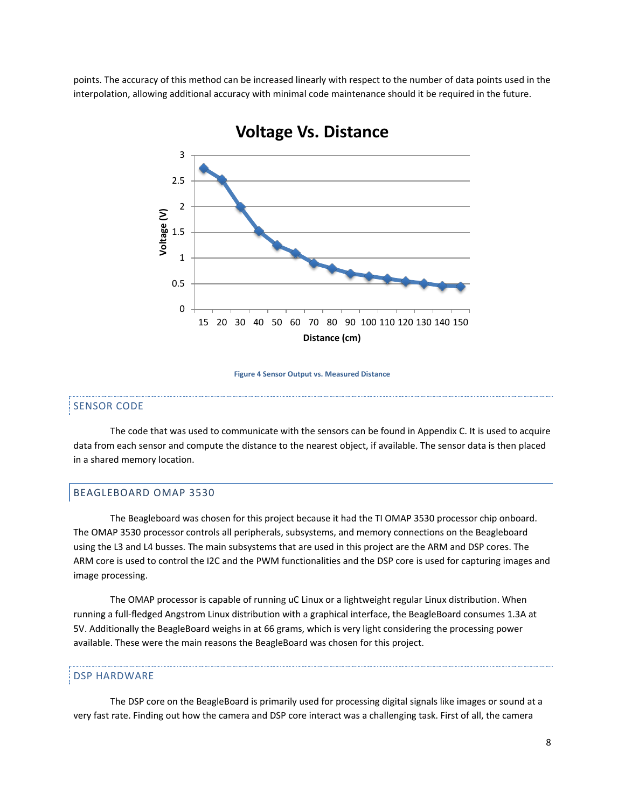points. The accuracy of this method can be increased linearly with respect to the number of data points used in the interpolation, allowing additional accuracy with minimal code maintenance should it be required in the future.



# **Voltage Vs. Distance**

**Figure 4 Sensor Output vs. Measured Distance**

# SENSOR CODE

The code that was used to communicate with the sensors can be found in Appendix C. It is used to acquire data from each sensor and compute the distance to the nearest object, if available. The sensor data is then placed in a shared memory location.

## <span id="page-8-0"></span>BEAGLEBOARD OMAP 3530

The Beagleboard was chosen for this project because it had the TI OMAP 3530 processor chip onboard. The OMAP 3530 processor controls all peripherals, subsystems, and memory connections on the Beagleboard using the L3 and L4 busses. The main subsystems that are used in this project are the ARM and DSP cores. The ARM core is used to control the I2C and the PWM functionalities and the DSP core is used for capturing images and image processing.

The OMAP processor is capable of running uC Linux or a lightweight regular Linux distribution. When running a full-fledged Angstrom Linux distribution with a graphical interface, the BeagleBoard consumes 1.3A at 5V. Additionally the BeagleBoard weighs in at 66 grams, which is very light considering the processing power available. These were the main reasons the BeagleBoard was chosen for this project.

#### DSP HARDWARE

The DSP core on the BeagleBoard is primarily used for processing digital signals like images or sound at a very fast rate. Finding out how the camera and DSP core interact was a challenging task. First of all, the camera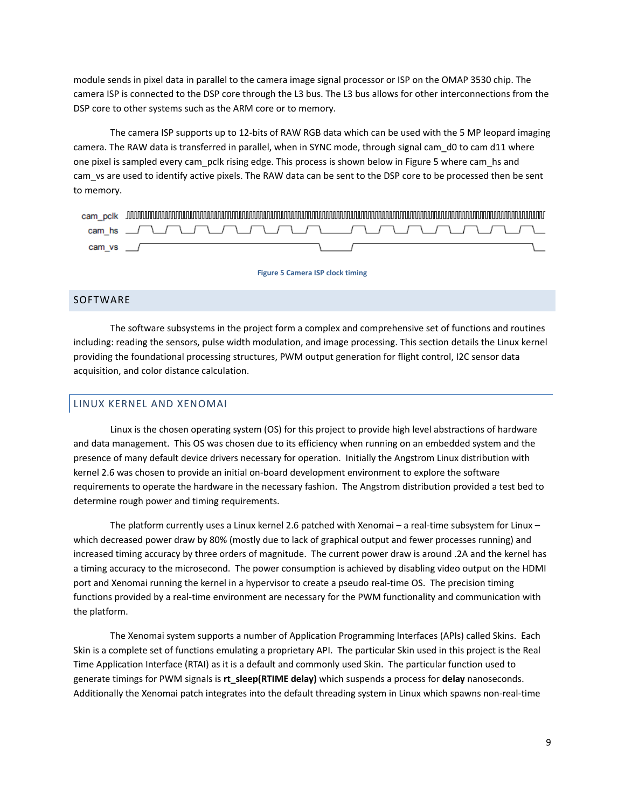module sends in pixel data in parallel to the camera image signal processor or ISP on the OMAP 3530 chip. The camera ISP is connected to the DSP core through the L3 bus. The L3 bus allows for other interconnections from the DSP core to other systems such as the ARM core or to memory.

The camera ISP supports up to 12-bits of RAW RGB data which can be used with the 5 MP leopard imaging camera. The RAW data is transferred in parallel, when in SYNC mode, through signal cam d0 to cam d11 where one pixel is sampled every cam pclk rising edge. This process is shown below in Figure 5 where cam hs and cam\_vs are used to identify active pixels. The RAW data can be sent to the DSP core to be processed then be sent to memory.

| cam pclk | www.communismental.com/www.communismental.com/www.communismental.com/www.communismental.com/www.communismental.com/ |  |
|----------|---------------------------------------------------------------------------------------------------------------------|--|
|          |                                                                                                                     |  |
| cam vs / |                                                                                                                     |  |

#### **Figure 5 Camera ISP clock timing**

# <span id="page-9-0"></span>SOFTWARE

The software subsystems in the project form a complex and comprehensive set of functions and routines including: reading the sensors, pulse width modulation, and image processing. This section details the Linux kernel providing the foundational processing structures, PWM output generation for flight control, I2C sensor data acquisition, and color distance calculation.

# <span id="page-9-1"></span>LINUX KERNEL AND XENOMAI

Linux is the chosen operating system (OS) for this project to provide high level abstractions of hardware and data management. This OS was chosen due to its efficiency when running on an embedded system and the presence of many default device drivers necessary for operation. Initially the Angstrom Linux distribution with kernel 2.6 was chosen to provide an initial on-board development environment to explore the software requirements to operate the hardware in the necessary fashion. The Angstrom distribution provided a test bed to determine rough power and timing requirements.

The platform currently uses a Linux kernel 2.6 patched with Xenomai – a real-time subsystem for Linux – which decreased power draw by 80% (mostly due to lack of graphical output and fewer processes running) and increased timing accuracy by three orders of magnitude. The current power draw is around .2A and the kernel has a timing accuracy to the microsecond. The power consumption is achieved by disabling video output on the HDMI port and Xenomai running the kernel in a hypervisor to create a pseudo real-time OS. The precision timing functions provided by a real-time environment are necessary for the PWM functionality and communication with the platform.

The Xenomai system supports a number of Application Programming Interfaces (APIs) called Skins. Each Skin is a complete set of functions emulating a proprietary API. The particular Skin used in this project is the Real Time Application Interface (RTAI) as it is a default and commonly used Skin. The particular function used to generate timings for PWM signals is **rt\_sleep(RTIME delay)** which suspends a process for **delay** nanoseconds. Additionally the Xenomai patch integrates into the default threading system in Linux which spawns non-real-time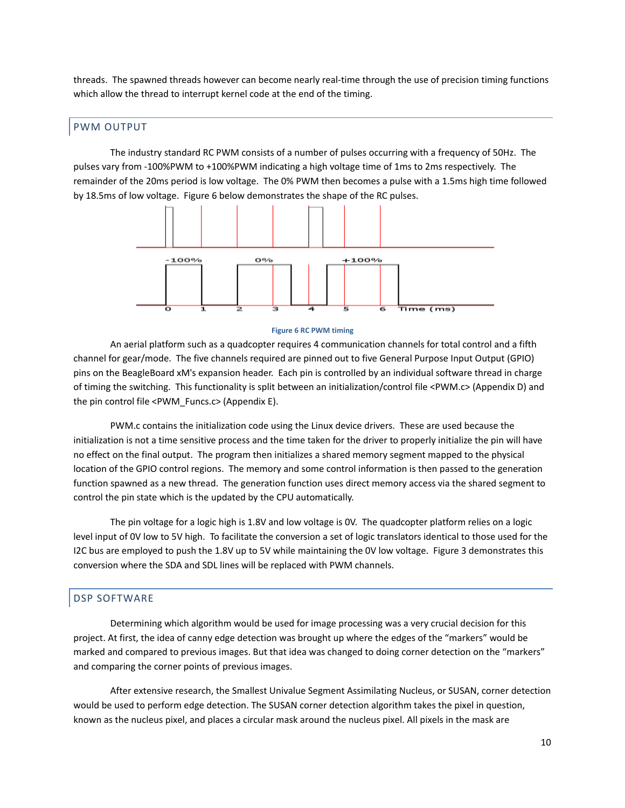threads. The spawned threads however can become nearly real-time through the use of precision timing functions which allow the thread to interrupt kernel code at the end of the timing.

# <span id="page-10-0"></span>PWM OUTPUT

The industry standard RC PWM consists of a number of pulses occurring with a frequency of 50Hz. The pulses vary from -100%PWM to +100%PWM indicating a high voltage time of 1ms to 2ms respectively. The remainder of the 20ms period is low voltage. The 0% PWM then becomes a pulse with a 1.5ms high time followed by 18.5ms of low voltage. Figure 6 below demonstrates the shape of the RC pulses.



#### **Figure 6 RC PWM timing**

An aerial platform such as a quadcopter requires 4 communication channels for total control and a fifth channel for gear/mode. The five channels required are pinned out to five General Purpose Input Output (GPIO) pins on the BeagleBoard xM's expansion header. Each pin is controlled by an individual software thread in charge of timing the switching. This functionality is split between an initialization/control file <PWM.c> (Appendix D) and the pin control file <PWM\_Funcs.c> (Appendix E).

PWM.c contains the initialization code using the Linux device drivers. These are used because the initialization is not a time sensitive process and the time taken for the driver to properly initialize the pin will have no effect on the final output. The program then initializes a shared memory segment mapped to the physical location of the GPIO control regions. The memory and some control information is then passed to the generation function spawned as a new thread. The generation function uses direct memory access via the shared segment to control the pin state which is the updated by the CPU automatically.

The pin voltage for a logic high is 1.8V and low voltage is 0V. The quadcopter platform relies on a logic level input of 0V low to 5V high. To facilitate the conversion a set of logic translators identical to those used for the I2C bus are employed to push the 1.8V up to 5V while maintaining the 0V low voltage. Figure 3 demonstrates this conversion where the SDA and SDL lines will be replaced with PWM channels.

# <span id="page-10-1"></span>DSP SOFTWARE

Determining which algorithm would be used for image processing was a very crucial decision for this project. At first, the idea of canny edge detection was brought up where the edges of the "markers" would be marked and compared to previous images. But that idea was changed to doing corner detection on the "markers" and comparing the corner points of previous images.

After extensive research, the Smallest Univalue Segment Assimilating Nucleus, or SUSAN, corner detection would be used to perform edge detection. The SUSAN corner detection algorithm takes the pixel in question, known as the nucleus pixel, and places a circular mask around the nucleus pixel. All pixels in the mask are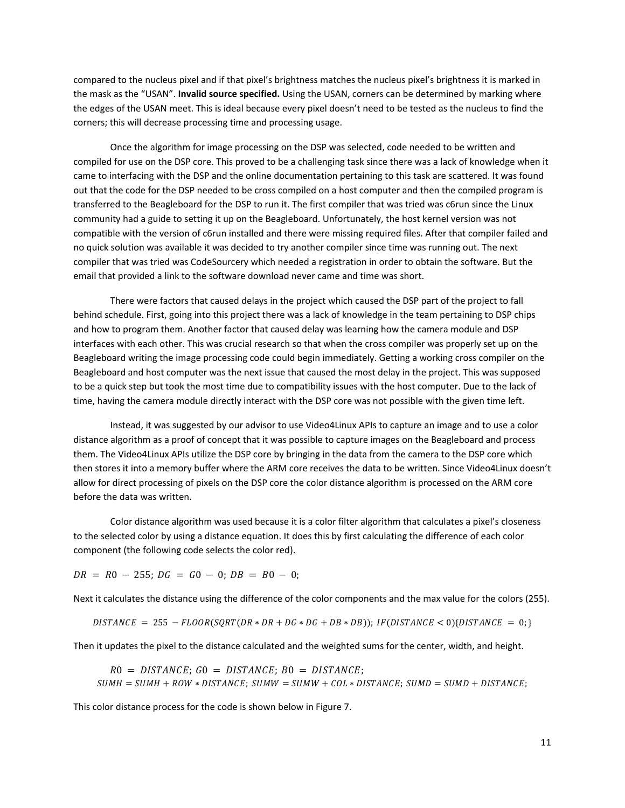compared to the nucleus pixel and if that pixel's brightness matches the nucleus pixel's brightness it is marked in the mask as the "USAN". **Invalid source specified.** Using the USAN, corners can be determined by marking where the edges of the USAN meet. This is ideal because every pixel doesn't need to be tested as the nucleus to find the corners; this will decrease processing time and processing usage.

Once the algorithm for image processing on the DSP was selected, code needed to be written and compiled for use on the DSP core. This proved to be a challenging task since there was a lack of knowledge when it came to interfacing with the DSP and the online documentation pertaining to this task are scattered. It was found out that the code for the DSP needed to be cross compiled on a host computer and then the compiled program is transferred to the Beagleboard for the DSP to run it. The first compiler that was tried was c6run since the Linux community had a guide to setting it up on the Beagleboard. Unfortunately, the host kernel version was not compatible with the version of c6run installed and there were missing required files. After that compiler failed and no quick solution was available it was decided to try another compiler since time was running out. The next compiler that was tried was CodeSourcery which needed a registration in order to obtain the software. But the email that provided a link to the software download never came and time was short.

There were factors that caused delays in the project which caused the DSP part of the project to fall behind schedule. First, going into this project there was a lack of knowledge in the team pertaining to DSP chips and how to program them. Another factor that caused delay was learning how the camera module and DSP interfaces with each other. This was crucial research so that when the cross compiler was properly set up on the Beagleboard writing the image processing code could begin immediately. Getting a working cross compiler on the Beagleboard and host computer was the next issue that caused the most delay in the project. This was supposed to be a quick step but took the most time due to compatibility issues with the host computer. Due to the lack of time, having the camera module directly interact with the DSP core was not possible with the given time left.

Instead, it was suggested by our advisor to use Video4Linux APIs to capture an image and to use a color distance algorithm as a proof of concept that it was possible to capture images on the Beagleboard and process them. The Video4Linux APIs utilize the DSP core by bringing in the data from the camera to the DSP core which then stores it into a memory buffer where the ARM core receives the data to be written. Since Video4Linux doesn't allow for direct processing of pixels on the DSP core the color distance algorithm is processed on the ARM core before the data was written.

Color distance algorithm was used because it is a color filter algorithm that calculates a pixel's closeness to the selected color by using a distance equation. It does this by first calculating the difference of each color component (the following code selects the color red).

 $DR = R0 - 255$ ;  $DG = G0 - 0$ ;  $DB = B0 - 0$ ;

Next it calculates the distance using the difference of the color components and the max value for the colors (255).

DISTANCE = 255 - FLOOR(SQRT(DR \* DR + DG \* DG + DB \* DB)); IF(DISTANCE < 0){DISTANCE = 0;}

Then it updates the pixel to the distance calculated and the weighted sums for the center, width, and height.

 $RO = DISTANCE$ ;  $GO = DISTANCE$ ;  $BO = DISTANCE$ ;  $SUMH = SUMH + ROW * DISTANCE$ ;  $SUMW = SUMW + COL * DISTANCE$ ;  $SUMD = SUMD + DISTANCE$ ;

This color distance process for the code is shown below in Figure 7.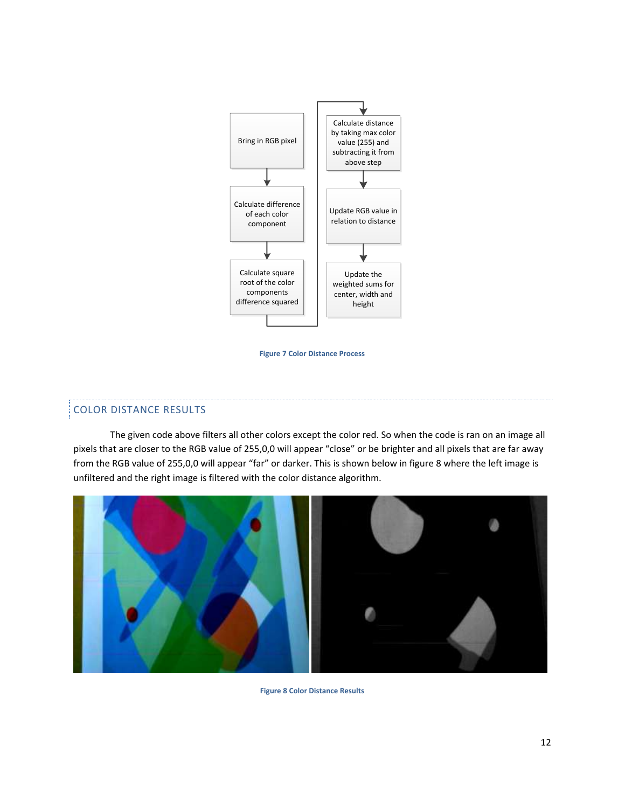

**Figure 7 Color Distance Process**

# COLOR DISTANCE RESULTS

The given code above filters all other colors except the color red. So when the code is ran on an image all pixels that are closer to the RGB value of 255,0,0 will appear "close" or be brighter and all pixels that are far away from the RGB value of 255,0,0 will appear "far" or darker. This is shown below in figure 8 where the left image is unfiltered and the right image is filtered with the color distance algorithm.



**Figure 8 Color Distance Results**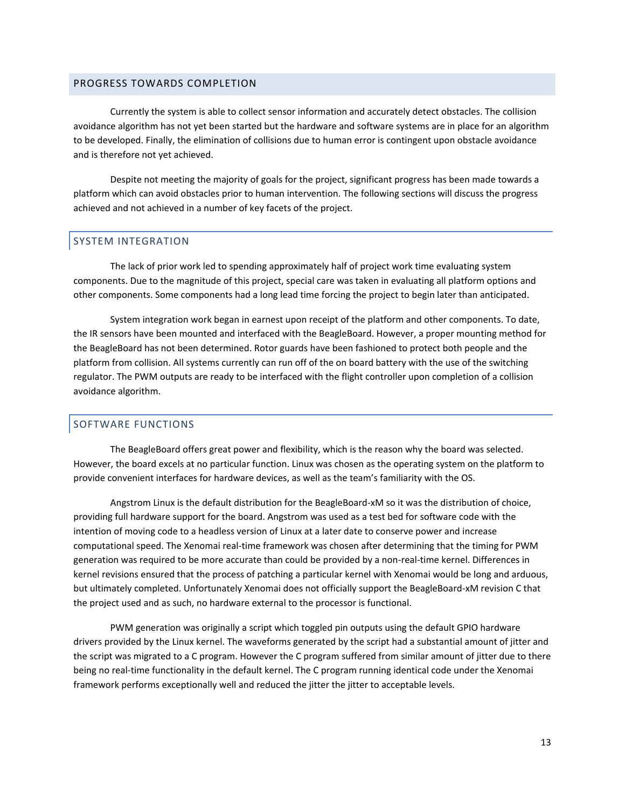# <span id="page-13-0"></span>PROGRESS TOWARDS COMPLETION

Currently the system is able to collect sensor information and accurately detect obstacles. The collision avoidance algorithm has not yet been started but the hardware and software systems are in place for an algorithm to be developed. Finally, the elimination of collisions due to human error is contingent upon obstacle avoidance and is therefore not yet achieved.

Despite not meeting the majority of goals for the project, significant progress has been made towards a platform which can avoid obstacles prior to human intervention. The following sections will discuss the progress achieved and not achieved in a number of key facets of the project.

# <span id="page-13-1"></span>SYSTEM INTEGRATION

The lack of prior work led to spending approximately half of project work time evaluating system components. Due to the magnitude of this project, special care was taken in evaluating all platform options and other components. Some components had a long lead time forcing the project to begin later than anticipated.

System integration work began in earnest upon receipt of the platform and other components. To date, the IR sensors have been mounted and interfaced with the BeagleBoard. However, a proper mounting method for the BeagleBoard has not been determined. Rotor guards have been fashioned to protect both people and the platform from collision. All systems currently can run off of the on board battery with the use of the switching regulator. The PWM outputs are ready to be interfaced with the flight controller upon completion of a collision avoidance algorithm.

# <span id="page-13-2"></span>SOFTWARE FUNCTIONS

The BeagleBoard offers great power and flexibility, which is the reason why the board was selected. However, the board excels at no particular function. Linux was chosen as the operating system on the platform to provide convenient interfaces for hardware devices, as well as the team's familiarity with the OS.

Angstrom Linux is the default distribution for the BeagleBoard-xM so it was the distribution of choice, providing full hardware support for the board. Angstrom was used as a test bed for software code with the intention of moving code to a headless version of Linux at a later date to conserve power and increase computational speed. The Xenomai real-time framework was chosen after determining that the timing for PWM generation was required to be more accurate than could be provided by a non-real-time kernel. Differences in kernel revisions ensured that the process of patching a particular kernel with Xenomai would be long and arduous, but ultimately completed. Unfortunately Xenomai does not officially support the BeagleBoard-xM revision C that the project used and as such, no hardware external to the processor is functional.

PWM generation was originally a script which toggled pin outputs using the default GPIO hardware drivers provided by the Linux kernel. The waveforms generated by the script had a substantial amount of jitter and the script was migrated to a C program. However the C program suffered from similar amount of jitter due to there being no real-time functionality in the default kernel. The C program running identical code under the Xenomai framework performs exceptionally well and reduced the jitter the jitter to acceptable levels.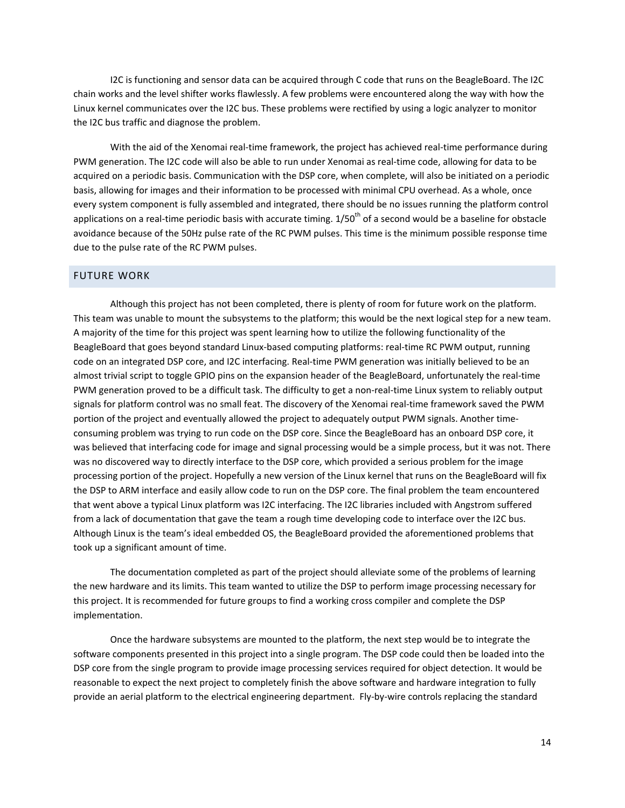I2C is functioning and sensor data can be acquired through C code that runs on the BeagleBoard. The I2C chain works and the level shifter works flawlessly. A few problems were encountered along the way with how the Linux kernel communicates over the I2C bus. These problems were rectified by using a logic analyzer to monitor the I2C bus traffic and diagnose the problem.

With the aid of the Xenomai real-time framework, the project has achieved real-time performance during PWM generation. The I2C code will also be able to run under Xenomai as real-time code, allowing for data to be acquired on a periodic basis. Communication with the DSP core, when complete, will also be initiated on a periodic basis, allowing for images and their information to be processed with minimal CPU overhead. As a whole, once every system component is fully assembled and integrated, there should be no issues running the platform control applications on a real-time periodic basis with accurate timing.  $1/50^{th}$  of a second would be a baseline for obstacle avoidance because of the 50Hz pulse rate of the RC PWM pulses. This time is the minimum possible response time due to the pulse rate of the RC PWM pulses.

# <span id="page-14-0"></span>FUTURE WORK

Although this project has not been completed, there is plenty of room for future work on the platform. This team was unable to mount the subsystems to the platform; this would be the next logical step for a new team. A majority of the time for this project was spent learning how to utilize the following functionality of the BeagleBoard that goes beyond standard Linux-based computing platforms: real-time RC PWM output, running code on an integrated DSP core, and I2C interfacing. Real-time PWM generation was initially believed to be an almost trivial script to toggle GPIO pins on the expansion header of the BeagleBoard, unfortunately the real-time PWM generation proved to be a difficult task. The difficulty to get a non-real-time Linux system to reliably output signals for platform control was no small feat. The discovery of the Xenomai real-time framework saved the PWM portion of the project and eventually allowed the project to adequately output PWM signals. Another timeconsuming problem was trying to run code on the DSP core. Since the BeagleBoard has an onboard DSP core, it was believed that interfacing code for image and signal processing would be a simple process, but it was not. There was no discovered way to directly interface to the DSP core, which provided a serious problem for the image processing portion of the project. Hopefully a new version of the Linux kernel that runs on the BeagleBoard will fix the DSP to ARM interface and easily allow code to run on the DSP core. The final problem the team encountered that went above a typical Linux platform was I2C interfacing. The I2C libraries included with Angstrom suffered from a lack of documentation that gave the team a rough time developing code to interface over the I2C bus. Although Linux is the team's ideal embedded OS, the BeagleBoard provided the aforementioned problems that took up a significant amount of time.

The documentation completed as part of the project should alleviate some of the problems of learning the new hardware and its limits. This team wanted to utilize the DSP to perform image processing necessary for this project. It is recommended for future groups to find a working cross compiler and complete the DSP implementation.

Once the hardware subsystems are mounted to the platform, the next step would be to integrate the software components presented in this project into a single program. The DSP code could then be loaded into the DSP core from the single program to provide image processing services required for object detection. It would be reasonable to expect the next project to completely finish the above software and hardware integration to fully provide an aerial platform to the electrical engineering department. Fly-by-wire controls replacing the standard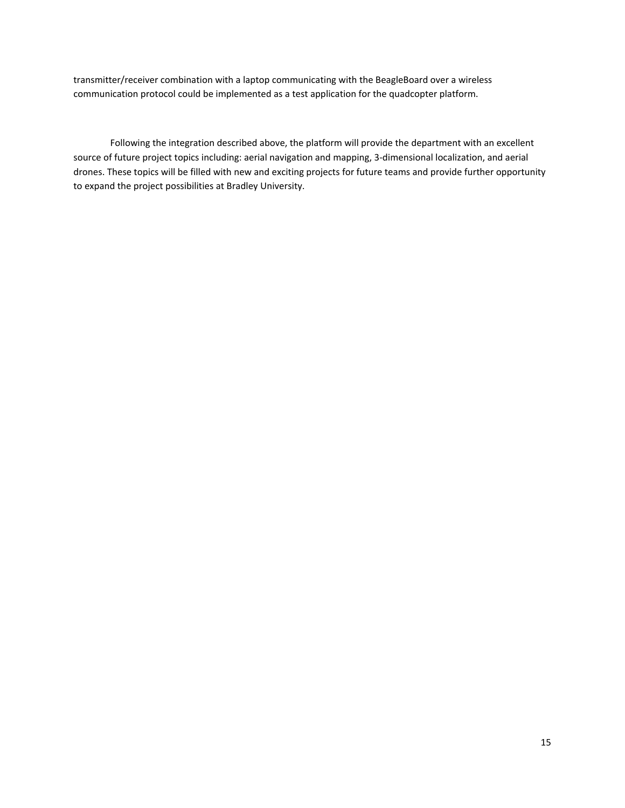transmitter/receiver combination with a laptop communicating with the BeagleBoard over a wireless communication protocol could be implemented as a test application for the quadcopter platform.

Following the integration described above, the platform will provide the department with an excellent source of future project topics including: aerial navigation and mapping, 3-dimensional localization, and aerial drones. These topics will be filled with new and exciting projects for future teams and provide further opportunity to expand the project possibilities at Bradley University.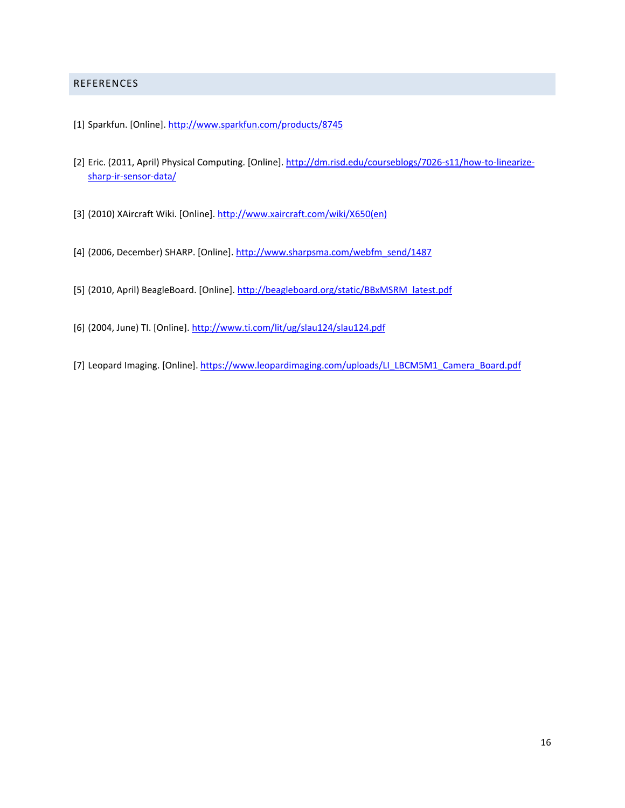# <span id="page-16-0"></span>REFERENCES

- <span id="page-16-1"></span>[1] Sparkfun. [Online].<http://www.sparkfun.com/products/8745>
- <span id="page-16-2"></span>[2] Eric. (2011, April) Physical Computing. [Online][. http://dm.risd.edu/courseblogs/7026-s11/how-to-linearize](http://dm.risd.edu/courseblogs/7026-s11/how-to-linearize-sharp-ir-sensor-data/)[sharp-ir-sensor-data/](http://dm.risd.edu/courseblogs/7026-s11/how-to-linearize-sharp-ir-sensor-data/)
- [3] (2010) XAircraft Wiki. [Online]. [http://www.xaircraft.com/wiki/X650\(en\)](http://www.xaircraft.com/wiki/X650(en))
- [4] (2006, December) SHARP. [Online][. http://www.sharpsma.com/webfm\\_send/1487](http://www.sharpsma.com/webfm_send/1487)
- [5] (2010, April) BeagleBoard. [Online][. http://beagleboard.org/static/BBxMSRM\\_latest.pdf](http://beagleboard.org/static/BBxMSRM_latest.pdf)
- [6] (2004, June) TI. [Online].<http://www.ti.com/lit/ug/slau124/slau124.pdf>
- [7] Leopard Imaging. [Online][. https://www.leopardimaging.com/uploads/LI\\_LBCM5M1\\_Camera\\_Board.pdf](https://www.leopardimaging.com/uploads/LI_LBCM5M1_Camera_Board.pdf)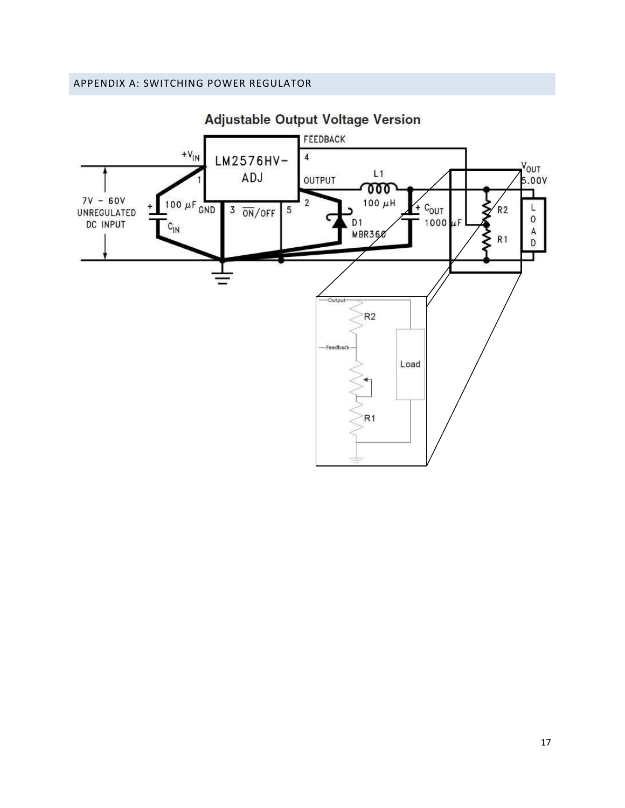<span id="page-17-0"></span>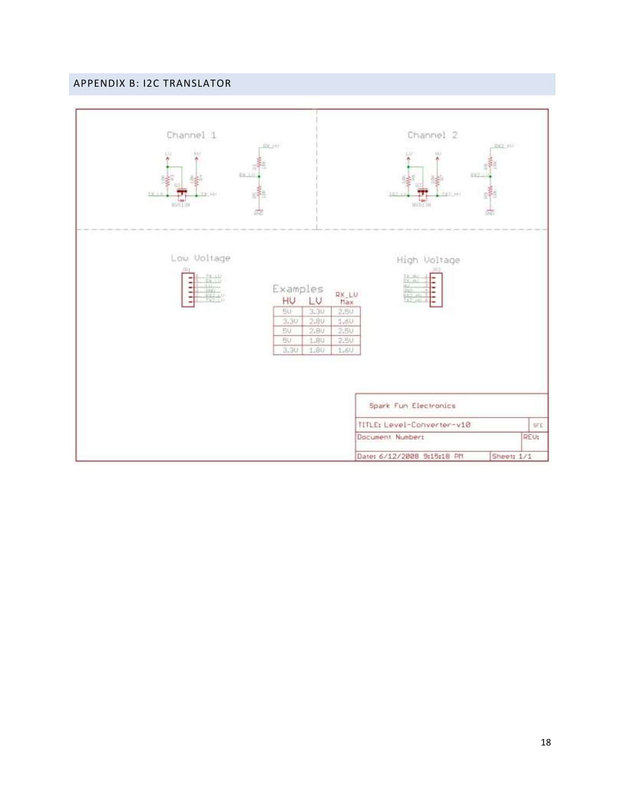# <span id="page-18-0"></span>APPENDIX B: I2C TRANSLATOR

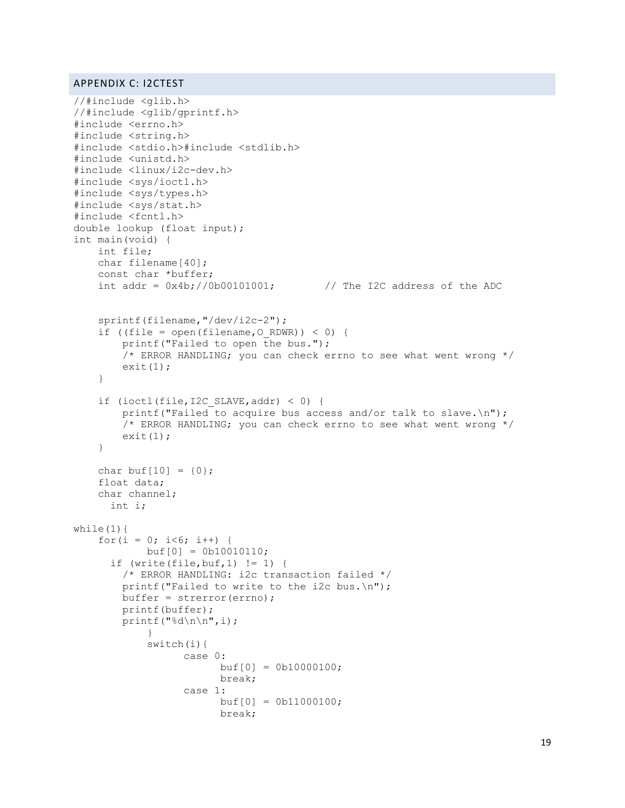# <span id="page-19-0"></span>APPENDIX C: I2CTEST

```
//#include <glib.h>
//#include <glib/gprintf.h>
#include <errno.h>
#include <string.h>
#include <stdio.h>#include <stdlib.h>
#include <unistd.h>
#include <linux/i2c-dev.h>
#include <sys/ioctl.h>
#include <sys/types.h>
#include <sys/stat.h>
#include <fcntl.h>
double lookup (float input);
int main(void) {
     int file;
     char filename[40];
     const char *buffer;
    int addr = 0x4b; //0b00101001; // The I2C address of the ADC
     sprintf(filename,"/dev/i2c-2");
    if ((file = open(filename, 0 RDWR)) < 0) {
        printf("Failed to open the bus.");
        \frac{1}{x} ERROR HANDLING; you can check errno to see what went wrong \frac{x}{x}ext(1):
     }
    if (ioctl(file, I2C SLAVE, addr) < 0) {
         printf("Failed to acquire bus access and/or talk to slave.\n");
         /* ERROR HANDLING; you can check errno to see what went wrong */
        exit(1); }
    char buf[10] = \{0\};
     float data;
     char channel;
      int i;
while(1) {
    for(i = 0; i < 6; i + 1) {
            buf[0] = 0b10010110;if (write(file, buf, 1) != 1) {
         /* ERROR HANDLING: i2c transaction failed */
        printf("Failed to write to the i2c bus.\n \cdot \n \cdot");
         buffer = strerror(errno);
         printf(buffer);
         printf("%d\n\n",i);
            }
            switch(i){
                   case 0:
                         buf[0] = 0b10000100;break;
                   case 1:
                        buf[0] = 0b11000100;break;
```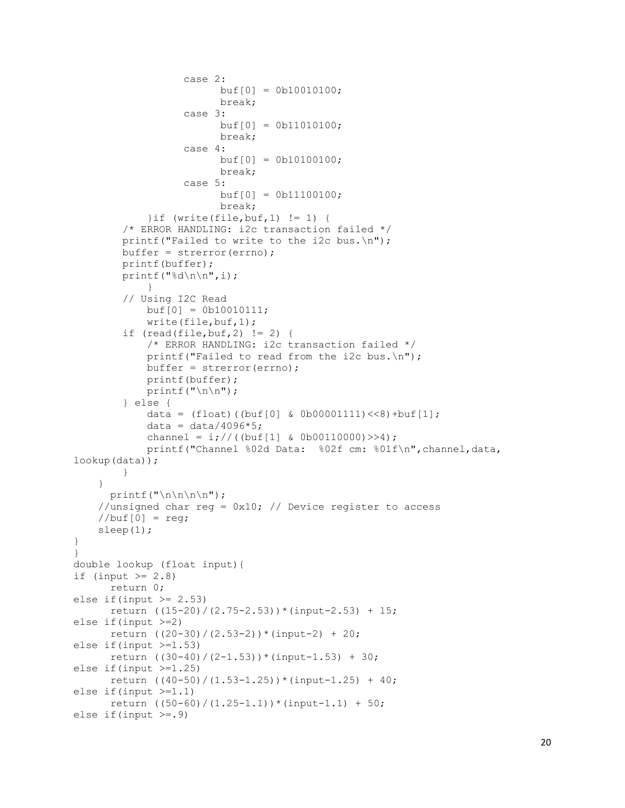```
case 2:
                         buf[0] = 0b10010100;break;
                   case 3:
                         buf[0] = 0b11010100;break;
                   case 4:
                         buf[0] = 0b10100100;break;
                   case 5:
                         buf[0] = 0b11100100;break;
             }if (write(file,buf,1) != 1) {
         /* ERROR HANDLING: i2c transaction failed */
         printf("Failed to write to the i2c bus.\n");
         buffer = strerror(errno);
         printf(buffer);
         printf("%d\n\n",i);
            }
         // Using I2C Read
            buf[0] = 0b10010111;write(file,buf,1);
        if (\text{read}(\text{file}, \text{buf}, 2) != 2) /* ERROR HANDLING: i2c transaction failed */
             printf("Failed to read from the i2c bus.\n");
            buffer = strerror(errno); printf(buffer);
            printf("\n\t\frac{\n}{\n}");
         } else {
            data = (float)(huf[0] & 0b00001111)<< 8) +buf[1];
             data = data/4096*5;
             channel = i; //((buf[1] & 0b00110000) >>4);
             printf("Channel %02d Data: %02f cm: %01f\n",channel,data, 
lookup(data));
         }
     }
      printf("\n\langle n \rangle n);
    //unsigned char reg = 0x10; // Device register to access
    //buf[0] = req; sleep(1); 
}
}
double lookup (float input){
if (input >= 2.8)
      return 0;
else if(input >= 2.53)
      return ((15-20)/(2.75-2.53))*(input-2.53) + 15;else if(input >=2)
      return ((20-30)/(2.53-2))*(input-2) + 20;else if(input >=1.53)
      return ((30-40)/(2-1.53))*(input-1.53) + 30;
else if(input >=1.25)
      return ((40-50)/(1.53-1.25))*(input-1.25) + 40;else if(input >=1.1)
      return ((50-60)/(1.25-1.1))*(input-1.1) + 50;else if(input >= .9)
```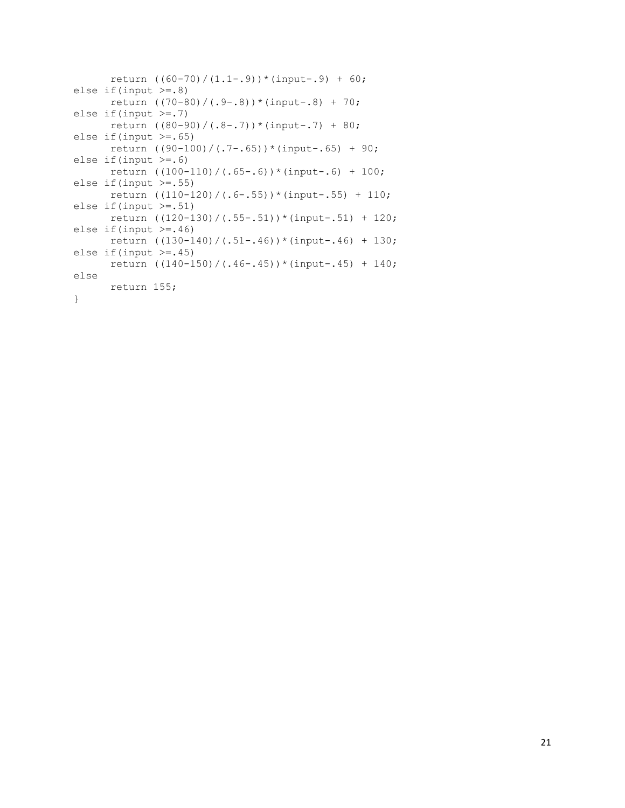```
return ((60-70)/(1.1-.9))*(input-.9) + 60;
else if(input >=.8)
      return ((70-80)/(.9-.8))*(input-.8) + 70;
else if(input >=.7)
     return ((80-90)/(.8-.7))*(input-.7) + 80;
else if(input >=.65)
     return ((90-100)/(.7-.65))*(input-.65) + 90;
else if(input >=.6)
     return ((100-110)/(.65-.6))*(input-.6) + 100;
else if(input >=.55)
     return ((110-120)/(.6-.55))*(input-.55) + 110;
else if(input >=.51)
     return ((120-130)/(.55-.51))*(input-.51) + 120;
else if(input >=.46)
      return ((130-140)/(.51-.46))*(input-.46) + 130;
else if(input >= .45)
      return ((140-150)/(.46-.45))*(input-.45) + 140;
else
     return 155;
}
```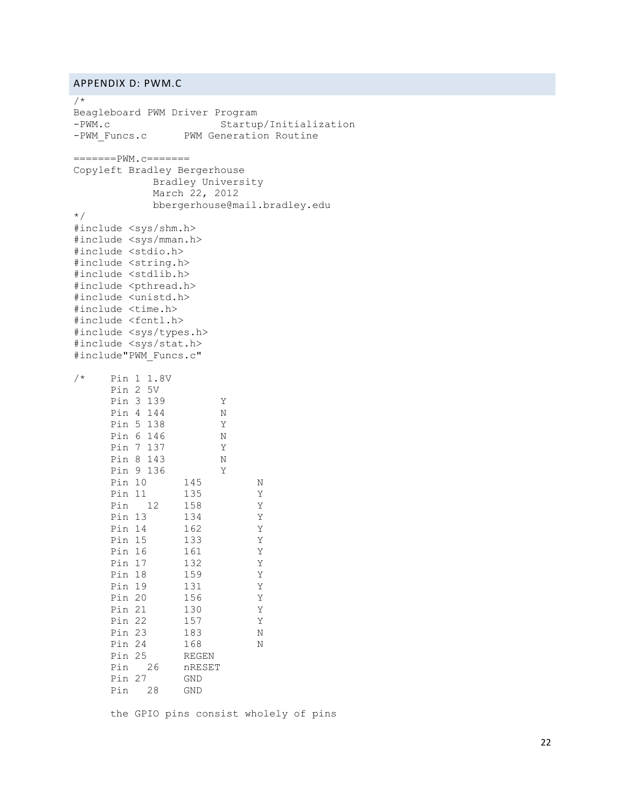# <span id="page-22-0"></span>APPENDIX D: PWM.C

/\* Beagleboard PWM Driver Program -PWM.c Startup/Initialization -PWM Funcs.c PWM Generation Routine =======PWM.c======= Copyleft Bradley Bergerhouse Bradley University March 22, 2012 bbergerhouse@mail.bradley.edu \*/ #include <sys/shm.h> #include <sys/mman.h> #include <stdio.h> #include <string.h> #include <stdlib.h> #include <pthread.h> #include <unistd.h> #include <time.h> #include <fcntl.h> #include <sys/types.h> #include <sys/stat.h> #include"PWM\_Funcs.c" /\* Pin 1 1.8V Pin 2 5V Pin 3 139 Y Pin 4 144 N Pin 5 138 Y Pin 6 146 N Pin 7 137 Y Pin 8 143 N Pin 9 136 Y Pin 10 145 N Pin 11 135 Y Pin 12 158 Y Pin 13 134 Y Pin 14 162 Y Pin 15 133 Y Pin 16 161 Y Pin 17 132 Y Pin 18 159 Y Pin 19 131 Y Pin 20 156 Y Pin 21 130 Y Pin 22 157 Y Pin 23 183 N Pin 24 168 N Pin 25 REGEN Pin 26 nRESET Pin 27 GND Pin 28 GND

the GPIO pins consist wholely of pins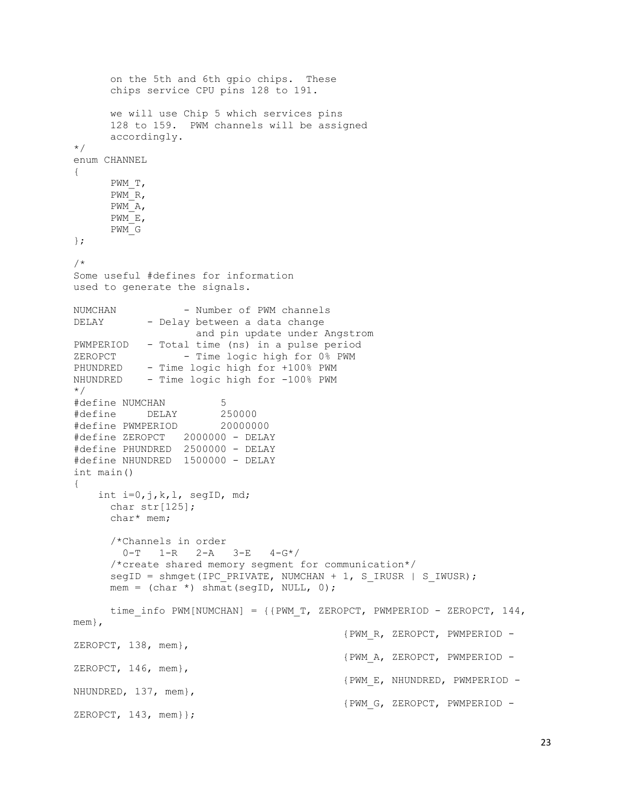```
on the 5th and 6th gpio chips. These
      chips service CPU pins 128 to 191.
      we will use Chip 5 which services pins
     128 to 159. PWM channels will be assigned
      accordingly.
*/
enum CHANNEL
{
      PWM_T,
     PWM_R,
     PWM_A,
     PWM_E,
     PWM_G
};
/*
Some useful #defines for information
used to generate the signals.
NUMCHAN - Number of PWM channels
DELAY - Delay between a data change
                   and pin update under Angstrom
PWMPERIOD - Total time (ns) in a pulse period
ZEROPCT - Time logic high for 0% PWM
PHUNDRED - Time logic high for +100% PWM
NHUNDRED - Time logic high for -100% PWM
*/
#define NUMCHAN 5
#define DELAY 250000
#define PWMPERIOD 20000000
#define ZEROPCT 2000000 - DELAY
#define PHUNDRED 2500000 - DELAY
#define NHUNDRED 1500000 - DELAY
int main()
{
     int i=0,j,k,l, segID, md;
     char str[125];
     char* mem;
      /*Channels in order
        0-T 1-R 2-A 3-E 4-G*/
      /*create shared memory segment for communication*/
      segID = shmget(IPC_PRIVATE, NUMCHAN + 1, S_IRUSR | S_IWUSR);
     mem = (char *) shmat(segID, NULL, 0);time info PWM[NUMCHAN] = {{PWM T, ZEROPCT, PWMPERIOD - ZEROPCT, 144,
mem},
                                            {PWM_R, ZEROPCT, PWMPERIOD -
ZEROPCT, 138, mem},
                                           {PWM_A, ZEROPCT, PWMPERIOD -
ZEROPCT, 146, mem},
                                           {PWM_E, NHUNDRED, PWMPERIOD -
NHUNDRED, 137, mem},
                                           {PWM_G, ZEROPCT, PWMPERIOD -
ZEROPCT, 143, mem}};
```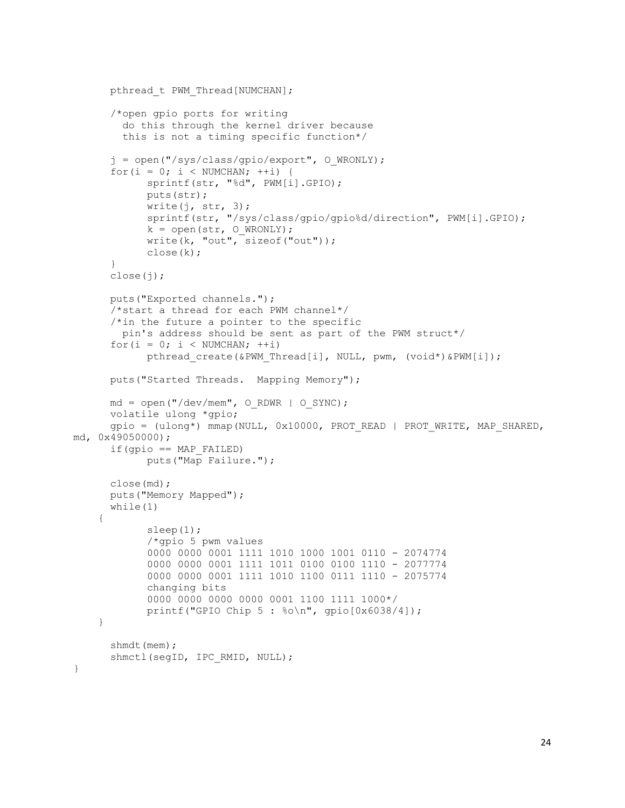```
pthread t PWM Thread [NUMCHAN];
      /*open gpio ports for writing
         do this through the kernel driver because
         this is not a timing specific function*/
      j = open("/sys/class/gpio/export", O_WRONLY);
      for(i = 0; i < NUMCHAN; ++i) {
            sprintf(str, "%d", PWM[i].GPIO);
            puts(str);
            write(j, str, 3);
            sprintf(str, "/sys/class/gpio/gpio%d/direction", PWM[i].GPIO);
            k = open(str, O_WRONLY);
            write(k, "out", sizeof("out"));
            close(k);
      }
      close(j);
      puts("Exported channels.");
      /*start a thread for each PWM channel*/
      /*in the future a pointer to the specific
         pin's address should be sent as part of the PWM struct*/
      for(i = 0; i < NUMCHAN; ++i)
            pthread create(&PWM_Thread[i], NULL, pwm, (void*)&PWM[i]);
      puts("Started Threads. Mapping Memory");
      md = open(''/dev/mem'', ORDWR | OSYNC);volatile ulong *gpio;
      gpio = (ulong*) mmap(NULL, 0x10000, PROT_READ | PROT_WRITE, MAP_SHARED, 
md, 0x49050000);
      if(qpio == MAP FAILED)puts("Map Failure.");
      close(md);
      puts("Memory Mapped");
      while(1) {
            sleep(1);
            /*gpio 5 pwm values
            0000 0000 0001 1111 1010 1000 1001 0110 - 2074774
            0000 0000 0001 1111 1011 0100 0100 1110 - 2077774
            0000 0000 0001 1111 1010 1100 0111 1110 - 2075774
            changing bits
            0000 0000 0000 0000 0001 1100 1111 1000*/
            printf("GPIO Chip 5 : %o\n", gpio[0x6038/4]);
     }
      shmdt(mem);
      shmctl(segID, IPC RMID, NULL);
```
}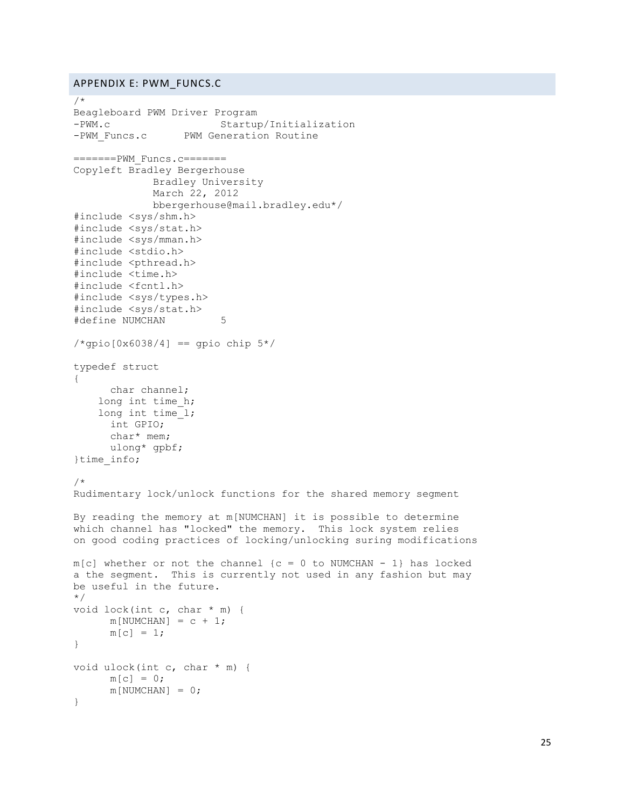# <span id="page-25-0"></span>APPENDIX E: PWM\_FUNCS.C

```
/*
Beagleboard PWM Driver Program
-PWM.c Startup/Initialization
-PWM_Funcs.c PWM Generation Routine
=======PWM_Funcs.c=======
Copyleft Bradley Bergerhouse
            Bradley University
            March 22, 2012
            bbergerhouse@mail.bradley.edu*/
#include <sys/shm.h>
#include <sys/stat.h>
#include <sys/mman.h>
#include <stdio.h>
#include <pthread.h>
#include <time.h>
#include <fcntl.h>
#include <sys/types.h>
#include <sys/stat.h>
#define NUMCHAN 5
/*qpio[0x6038/4] == gpio chip 5*/typedef struct
{
     char channel;
   long int time h;
     long int time_l;
     int GPIO;
      char* mem;
     ulong* gpbf;
}time_info;
/*
Rudimentary lock/unlock functions for the shared memory segment
By reading the memory at m[NUMCHAN] it is possible to determine
which channel has "locked" the memory. This lock system relies
on good coding practices of locking/unlocking suring modifications
m[c] whether or not the channel \{c = 0 to NUMCHAN - 1} has locked
a the segment. This is currently not used in any fashion but may
be useful in the future.
*/
void lock(int c, char * m) {
     m[NUMCHAN] = c + 1;m[c] = 1;}
void ulock(int c, char * m) {
     m[c] = 0;m[NUMCHAN] = 0;}
```